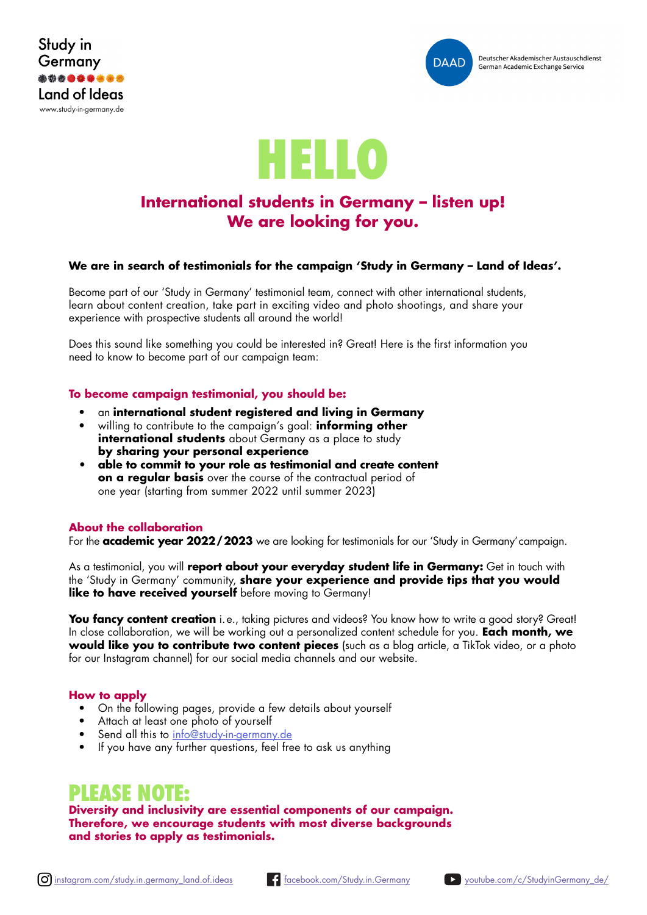





## **International students in Germany – listen up! We are looking for you.**

## **We are in search of testimonials for the campaign 'Study in Germany – Land of Ideas'.**

Become part of our 'Study in Germany' testimonial team, connect with other international students, learn about content creation, take part in exciting video and photo shootings, and share your experience with prospective students all around the world!

Does this sound like something you could be interested in? Great! Here is the first information you need to know to become part of our campaign team:

## **To become campaign testimonial, you should be:**

- an **international student registered and living in Germany**
- willing to contribute to the campaign's goal: **informing other international students** about Germany as a place to study **by sharing your personal experience**
- **• able to commit to your role as testimonial and create content on a regular basis** over the course of the contractual period of one year (starting from summer 2022 until summer 2023)

## **About the collaboration**

For the **academic year 2022/2023** we are looking for testimonials for our 'Study in Germany'campaign.

As a testimonial, you will **report about your everyday student life in Germany:** Get in touch with the 'Study in Germany' community, **share your experience and provide tips that you would like to have received yourself** before moving to Germany!

**You fancy content creation** i.e., taking pictures and videos? You know how to write a good story? Great! In close collaboration, we will be working out a personalized content schedule for you. **Each month, we would like you to contribute two content pieces** (such as a blog article, a TikTok video, or a photo for our Instagram channel) for our social media channels and our website.

## **How to apply**

- On the following pages, provide a few details about yourself
- Attach at least one photo of yourself
- Send all this to info@study-in-germany.de
- If you have any further questions, feel free to ask us anything

## **PLEASE NOTE:**

**Diversity and inclusivity are essential components of our campaign. Therefore, we encourage students with most diverse backgrounds and stories to apply as testimonials.**

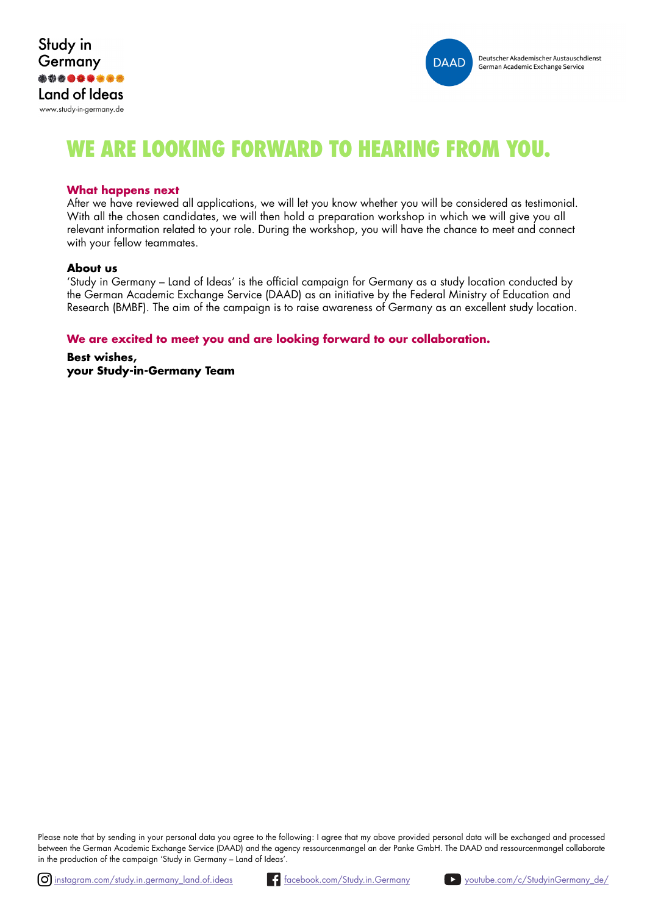



# **WE ARE LOOKING FORWARD TO HEARING FROM YOU.**

#### **What happens next**

After we have reviewed all applications, we will let you know whether you will be considered as testimonial. With all the chosen candidates, we will then hold a preparation workshop in which we will give you all relevant information related to your role. During the workshop, you will have the chance to meet and connect with your fellow teammates.

#### **About us**

'Study in Germany – Land of Ideas' is the official campaign for Germany as a study location conducted by the German Academic Exchange Service (DAAD) as an initiative by the Federal Ministry of Education and Research (BMBF). The aim of the campaign is to raise awareness of Germany as an excellent study location.

## **We are excited to meet you and are looking forward to our collaboration.**

**Best wishes, your Study-in-Germany Team**

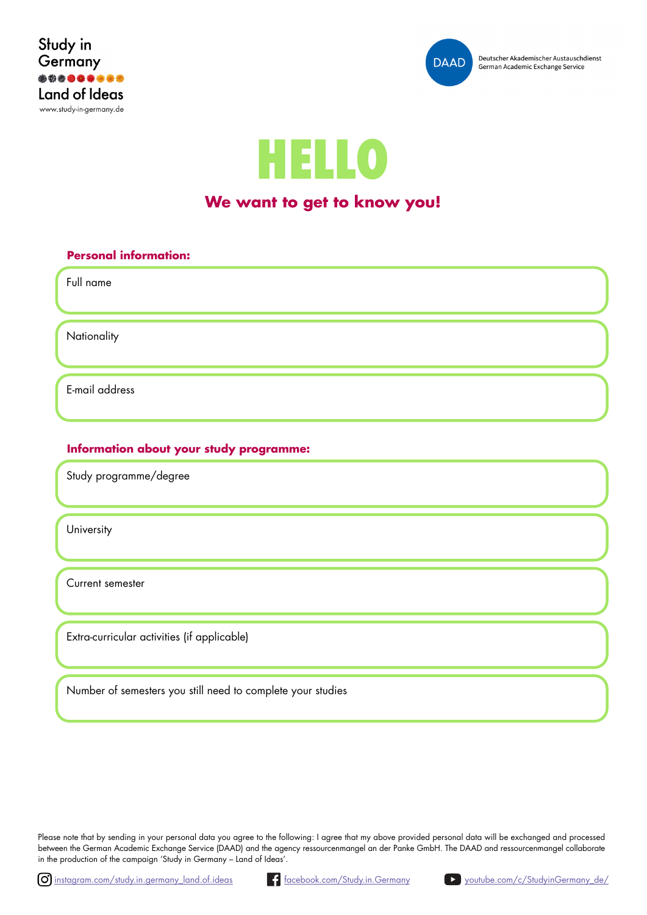





## **We want to get to know you!**

# **Personal information:** Full name E-mail address **Nationality**

## **Information about your study programme:**

Study programme/degree

**University** 

Current semester

Extra-curricular activities (if applicable)

Number of semesters you still need to complete your studies

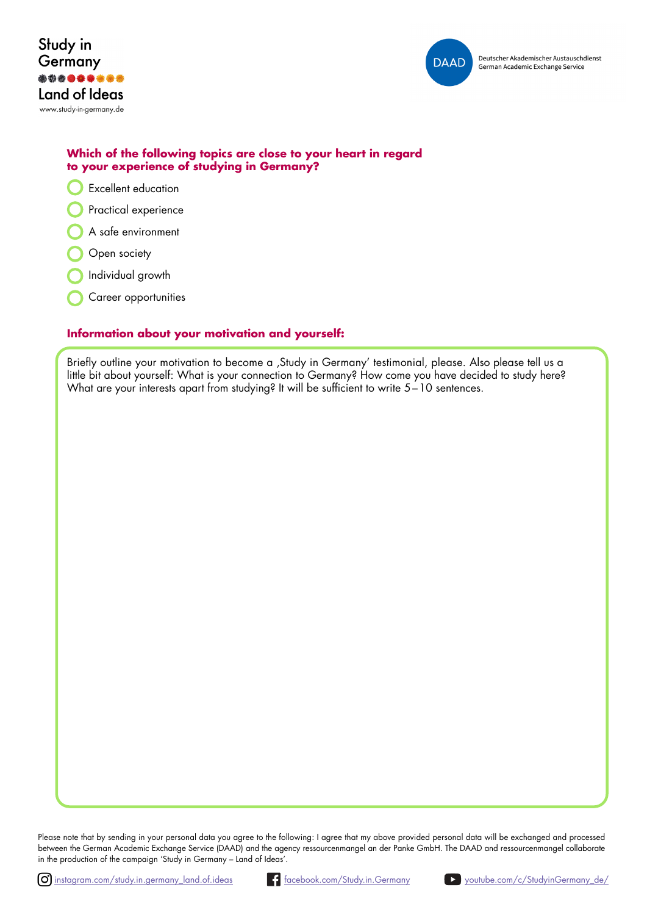



## **Which of the following topics are close to your heart in regard to your experience of studying in Germany?**

- Excellent education
- Practical experience
- A safe environment
- Open society
- Individual growth
- Career opportunities

## **Information about your motivation and yourself:**

Briefly outline your motivation to become a , Study in Germany' testimonial, please. Also please tell us a little bit about yourself: What is your connection to Germany? How come you have decided to study here? What are your interests apart from studying? It will be sufficient to write  $5-10$  sentences.